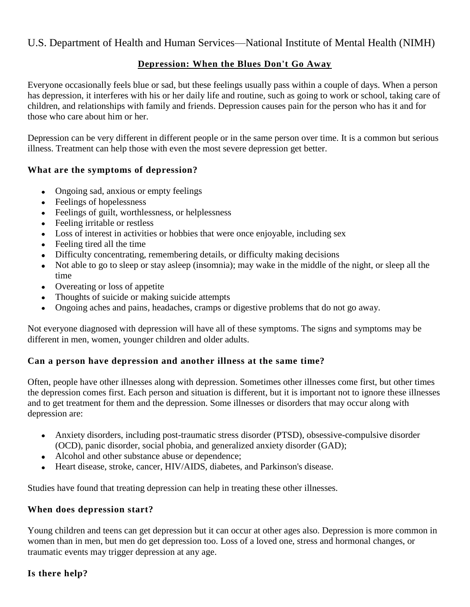# U.S. Department of Health and Human Services—National Institute of Mental Health (NIMH)

### **Depression: When the Blues Don't Go Away**

Everyone occasionally feels blue or sad, but these feelings usually pass within a couple of days. When a person has depression, it interferes with his or her daily life and routine, such as going to work or school, taking care of children, and relationships with family and friends. Depression causes pain for the person who has it and for those who care about him or her.

Depression can be very different in different people or in the same person over time. It is a common but serious illness. Treatment can help those with even the most severe depression get better.

#### **What are the symptoms of depression?**

- Ongoing sad, anxious or empty feelings
- Feelings of hopelessness
- Feelings of guilt, worthlessness, or helplessness
- Feeling irritable or restless
- Loss of interest in activities or hobbies that were once enjoyable, including sex
- Feeling tired all the time
- Difficulty concentrating, remembering details, or difficulty making decisions
- Not able to go to sleep or stay asleep (insomnia); may wake in the middle of the night, or sleep all the time
- Overeating or loss of appetite
- Thoughts of suicide or making suicide attempts
- Ongoing aches and pains, headaches, cramps or digestive problems that do not go away.

Not everyone diagnosed with depression will have all of these symptoms. The signs and symptoms may be different in men, women, younger children and older adults.

### **Can a person have depression and another illness at the same time?**

Often, people have other illnesses along with depression. Sometimes other illnesses come first, but other times the depression comes first. Each person and situation is different, but it is important not to ignore these illnesses and to get treatment for them and the depression. Some illnesses or disorders that may occur along with depression are:

- Anxiety disorders, including post-traumatic stress disorder (PTSD), obsessive-compulsive disorder (OCD), panic disorder, social phobia, and generalized anxiety disorder (GAD);
- Alcohol and other substance abuse or dependence;
- Heart disease, stroke, cancer, HIV/AIDS, diabetes, and Parkinson's disease.

Studies have found that treating depression can help in treating these other illnesses.

### **When does depression start?**

Young children and teens can get depression but it can occur at other ages also. Depression is more common in women than in men, but men do get depression too. Loss of a loved one, stress and hormonal changes, or traumatic events may trigger depression at any age.

### **Is there help?**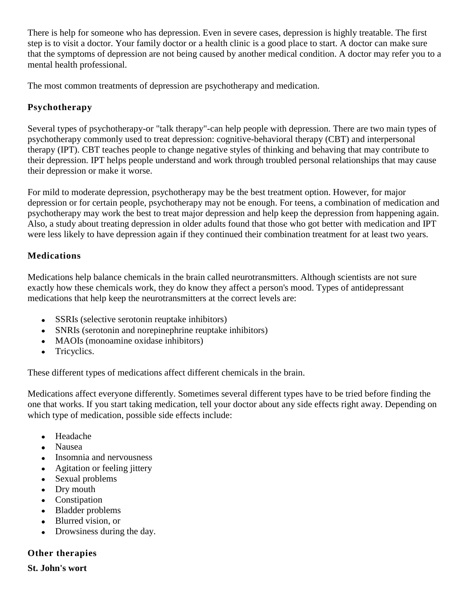There is help for someone who has depression. Even in severe cases, depression is highly treatable. The first step is to visit a doctor. Your family doctor or a health clinic is a good place to start. A doctor can make sure that the symptoms of depression are not being caused by another medical condition. A doctor may refer you to a mental health professional.

The most common treatments of depression are psychotherapy and medication.

# **Psychotherapy**

Several types of psychotherapy-or "talk therapy"-can help people with depression. There are two main types of psychotherapy commonly used to treat depression: cognitive-behavioral therapy (CBT) and interpersonal therapy (IPT). CBT teaches people to change negative styles of thinking and behaving that may contribute to their depression. IPT helps people understand and work through troubled personal relationships that may cause their depression or make it worse.

For mild to moderate depression, psychotherapy may be the best treatment option. However, for major depression or for certain people, psychotherapy may not be enough. For teens, a combination of medication and psychotherapy may work the best to treat major depression and help keep the depression from happening again. Also, a study about treating depression in older adults found that those who got better with medication and IPT were less likely to have depression again if they continued their combination treatment for at least two years.

# **Medications**

Medications help balance chemicals in the brain called neurotransmitters. Although scientists are not sure exactly how these chemicals work, they do know they affect a person's mood. Types of antidepressant medications that help keep the neurotransmitters at the correct levels are:

- SSRIs (selective serotonin reuptake inhibitors)
- SNRIs (serotonin and norepinephrine reuptake inhibitors)
- MAOIs (monoamine oxidase inhibitors)
- $\bullet$ Tricyclics.

These different types of medications affect different chemicals in the brain.

Medications affect everyone differently. Sometimes several different types have to be tried before finding the one that works. If you start taking medication, tell your doctor about any side effects right away. Depending on which type of medication, possible side effects include:

- Headache
- Nausea
- Insomnia and nervousness
- Agitation or feeling jittery
- Sexual problems  $\bullet$
- Dry mouth
- Constipation
- Bladder problems
- Blurred vision, or
- Drowsiness during the day.

## **Other therapies**

**St. John's wort**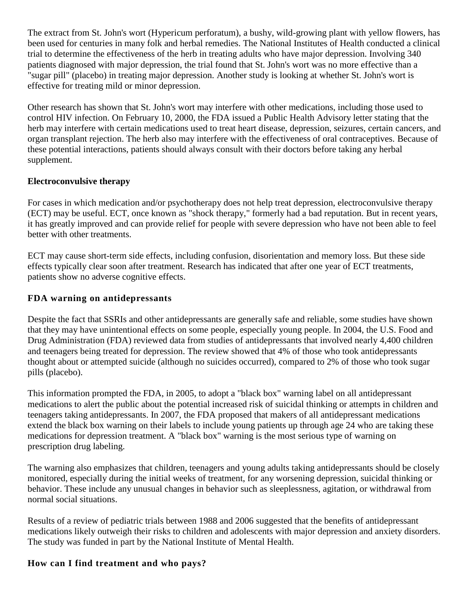The extract from St. John's wort (Hypericum perforatum), a bushy, wild-growing plant with yellow flowers, has been used for centuries in many folk and herbal remedies. The National Institutes of Health conducted a clinical trial to determine the effectiveness of the herb in treating adults who have major depression. Involving 340 patients diagnosed with major depression, the trial found that St. John's wort was no more effective than a "sugar pill" (placebo) in treating major depression. Another study is looking at whether St. John's wort is effective for treating mild or minor depression.

Other research has shown that St. John's wort may interfere with other medications, including those used to control HIV infection. On February 10, 2000, the FDA issued a Public Health Advisory letter stating that the herb may interfere with certain medications used to treat heart disease, depression, seizures, certain cancers, and organ transplant rejection. The herb also may interfere with the effectiveness of oral contraceptives. Because of these potential interactions, patients should always consult with their doctors before taking any herbal supplement.

### **Electroconvulsive therapy**

For cases in which medication and/or psychotherapy does not help treat depression, electroconvulsive therapy (ECT) may be useful. ECT, once known as "shock therapy," formerly had a bad reputation. But in recent years, it has greatly improved and can provide relief for people with severe depression who have not been able to feel better with other treatments.

ECT may cause short-term side effects, including confusion, disorientation and memory loss. But these side effects typically clear soon after treatment. Research has indicated that after one year of ECT treatments, patients show no adverse cognitive effects.

### **FDA warning on antidepressants**

Despite the fact that SSRIs and other antidepressants are generally safe and reliable, some studies have shown that they may have unintentional effects on some people, especially young people. In 2004, the U.S. Food and Drug Administration (FDA) reviewed data from studies of antidepressants that involved nearly 4,400 children and teenagers being treated for depression. The review showed that 4% of those who took antidepressants thought about or attempted suicide (although no suicides occurred), compared to 2% of those who took sugar pills (placebo).

This information prompted the FDA, in 2005, to adopt a "black box" warning label on all antidepressant medications to alert the public about the potential increased risk of suicidal thinking or attempts in children and teenagers taking antidepressants. In 2007, the FDA proposed that makers of all antidepressant medications extend the black box warning on their labels to include young patients up through age 24 who are taking these medications for depression treatment. A "black box" warning is the most serious type of warning on prescription drug labeling.

The warning also emphasizes that children, teenagers and young adults taking antidepressants should be closely monitored, especially during the initial weeks of treatment, for any worsening depression, suicidal thinking or behavior. These include any unusual changes in behavior such as sleeplessness, agitation, or withdrawal from normal social situations.

Results of a review of pediatric trials between 1988 and 2006 suggested that the benefits of antidepressant medications likely outweigh their risks to children and adolescents with major depression and anxiety disorders. The study was funded in part by the National Institute of Mental Health.

## **How can I find treatment and who pays?**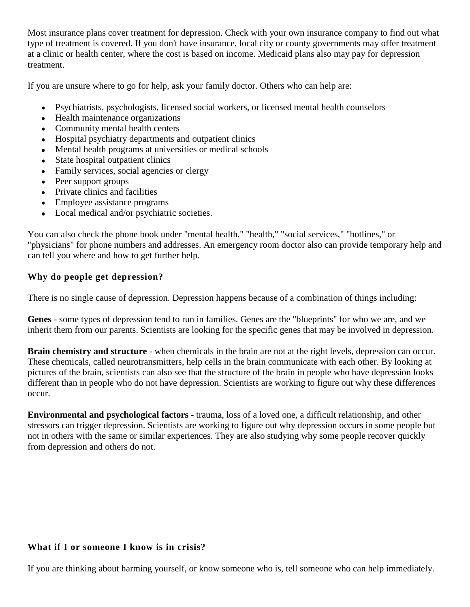Most insurance plans cover treatment for depression. Check with your own insurance company to find out what type of treatment is covered. If you don't have insurance, local city or county governments may offer treatment at a clinic or health center, where the cost is based on income. Medicaid plans also may pay for depression treatment.

If you are unsure where to go for help, ask your family doctor. Others who can help are:

- Psychiatrists, psychologists, licensed social workers, or licensed mental health counselors
- Health maintenance organizations
- Community mental health centers
- Hospital psychiatry departments and outpatient clinics
- Mental health programs at universities or medical schools
- State hospital outpatient clinics
- Family services, social agencies or clergy
- Peer support groups  $\bullet$
- Private clinics and facilities
- Employee assistance programs
- Local medical and/or psychiatric societies.

You can also check the phone book under "mental health," "health," "social services," "hotlines," or "physicians" for phone numbers and addresses. An emergency room doctor also can provide temporary help and can tell you where and how to get further help.

## **Why do people get depression?**

There is no single cause of depression. Depression happens because of a combination of things including:

**Genes** - some types of depression tend to run in families. Genes are the "blueprints" for who we are, and we inherit them from our parents. Scientists are looking for the specific genes that may be involved in depression.

**Brain chemistry and structure** - when chemicals in the brain are not at the right levels, depression can occur. These chemicals, called neurotransmitters, help cells in the brain communicate with each other. By looking at pictures of the brain, scientists can also see that the structure of the brain in people who have depression looks different than in people who do not have depression. Scientists are working to figure out why these differences occur.

**Environmental and psychological factors** - trauma, loss of a loved one, a difficult relationship, and other stressors can trigger depression. Scientists are working to figure out why depression occurs in some people but not in others with the same or similar experiences. They are also studying why some people recover quickly from depression and others do not.

### **What if I or someone I know is in crisis?**

If you are thinking about harming yourself, or know someone who is, tell someone who can help immediately.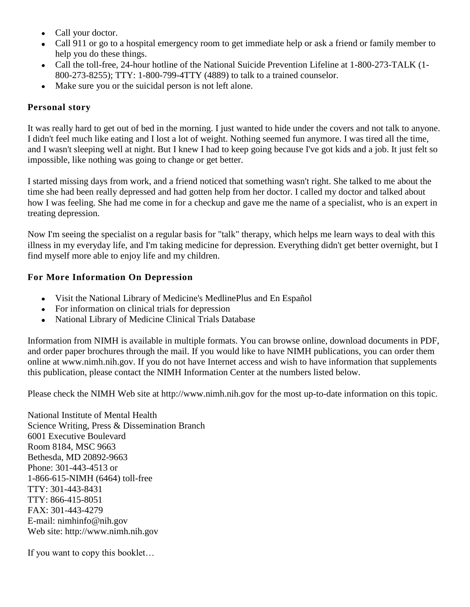- Call your doctor.  $\bullet$
- Call 911 or go to a hospital emergency room to get immediate help or ask a friend or family member to help you do these things.
- Call the toll-free, 24-hour hotline of the National Suicide Prevention Lifeline at 1-800-273-TALK (1- 800-273-8255); TTY: 1-800-799-4TTY (4889) to talk to a trained counselor.
- Make sure you or the suicidal person is not left alone.  $\bullet$

## **Personal story**

It was really hard to get out of bed in the morning. I just wanted to hide under the covers and not talk to anyone. I didn't feel much like eating and I lost a lot of weight. Nothing seemed fun anymore. I was tired all the time, and I wasn't sleeping well at night. But I knew I had to keep going because I've got kids and a job. It just felt so impossible, like nothing was going to change or get better.

I started missing days from work, and a friend noticed that something wasn't right. She talked to me about the time she had been really depressed and had gotten help from her doctor. I called my doctor and talked about how I was feeling. She had me come in for a checkup and gave me the name of a specialist, who is an expert in treating depression.

Now I'm seeing the specialist on a regular basis for "talk" therapy, which helps me learn ways to deal with this illness in my everyday life, and I'm taking medicine for depression. Everything didn't get better overnight, but I find myself more able to enjoy life and my children.

### **For More Information On Depression**

- Visit the National Library of Medicine's [MedlinePlus](http://www.nlm.nih.gov/medlineplus) [and En Español](http://medlineplus.gov/spanish)
- For information on [clinical trials for depression](http://www.nimh.nih.gov/studies/index.cfm)
- National Library of Medicine [Clinical Trials Database](http://www.clinicaltrials.gov/)

Information from NIMH is available in multiple formats. You can browse online, download documents in PDF, and order paper brochures through the mail. If you would like to have NIMH publications, you can order them online at www.nimh.nih.gov. If you do not have Internet access and wish to have information that supplements this publication, please contact the NIMH Information Center at the numbers listed below.

Please check the NIMH Web site at http://www.nimh.nih.gov for the most up-to-date information on this topic.

National Institute of Mental Health Science Writing, Press & Dissemination Branch 6001 Executive Boulevard Room 8184, MSC 9663 Bethesda, MD 20892-9663 Phone: 301-443-4513 or 1-866-615-NIMH (6464) toll-free TTY: 301-443-8431 TTY: 866-415-8051 FAX: 301-443-4279 E-mail: [nimhinfo@nih.gov](mailto:nimhinfo@nih.gov) Web site: [http://www.nimh.nih.gov](http://www.nimh.nih.gov/)

If you want to copy this booklet…